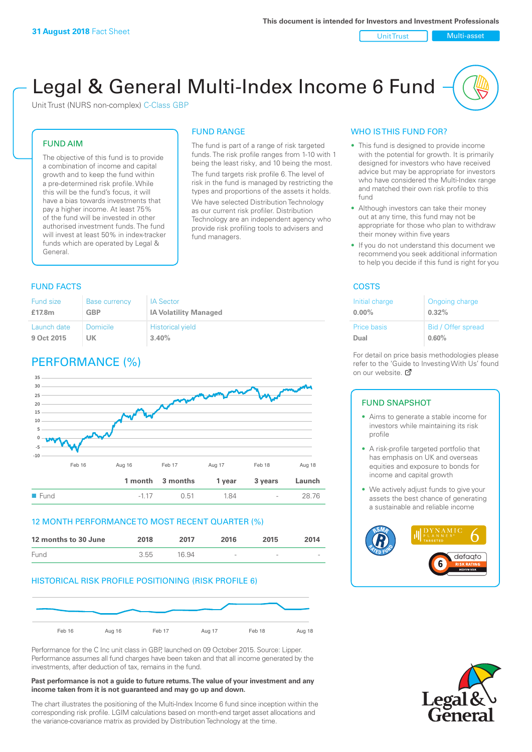Unit Trust Nulti-asset

# Legal & General Multi-Index Income 6 Fund

Unit Trust (NURS non-complex) C-Class GBP

#### FUND AIM

The objective of this fund is to provide a combination of income and capital growth and to keep the fund within a pre-determined risk profile. While this will be the fund's focus, it will have a bias towards investments that pay a higher income. At least 75% of the fund will be invested in other authorised investment funds. The fund will invest at least 50% in index-tracker funds which are operated by Legal & General.

### FUND RANGE The fund is part of a range of risk targeted

funds. The risk profile ranges from 1-10 with 1 being the least risky, and 10 being the most. The fund targets risk profile 6. The level of risk in the fund is managed by restricting the

types and proportions of the assets it holds. We have selected Distribution Technology as our current risk profiler. Distribution Technology are an independent agency who provide risk profiling tools to advisers and fund managers.

#### **FUND FACTS** COSTS

| <b>Fund size</b> | <b>Base currency</b> | <b>IA Sector</b>             |
|------------------|----------------------|------------------------------|
| £17.8m           | GBP                  | <b>IA Volatility Managed</b> |
| Launch date      | <b>Domicile</b>      | <b>Historical yield</b>      |
| 9 Oct 2015       | UK                   | 3.40%                        |

# PERFORMANCE (%)



#### 12 MONTH PERFORMANCE TO MOST RECENT QUARTER (%)



#### HISTORICAL RISK PROFILE POSITIONING (RISK PROFILE 6)



Performance for the C Inc unit class in GBP, launched on 09 October 2015. Source: Lipper. Performance assumes all fund charges have been taken and that all income generated by the investments, after deduction of tax, remains in the fund.

#### **Past performance is not a guide to future returns. The value of your investment and any income taken from it is not guaranteed and may go up and down.**

The chart illustrates the positioning of the Multi-Index Income 6 fund since inception within the corresponding risk profile. LGIM calculations based on month-end target asset allocations and the variance-covariance matrix as provided by Distribution Technology at the time.

#### WHO IS THIS FUND FOR?

- This fund is designed to provide income with the potential for growth. It is primarily designed for investors who have received advice but may be appropriate for investors who have considered the Multi-Index range and matched their own risk profile to this fund
- Although investors can take their money out at any time, this fund may not be appropriate for those who plan to withdraw their money within five years
- If you do not understand this document we recommend you seek additional information to help you decide if this fund is right for you

| Initial charge | Ongoing charge     |
|----------------|--------------------|
| $0.00\%$       | $0.32\%$           |
| Price basis    | Bid / Offer spread |
| Dual           | 0.60%              |

For detail on price basis methodologies please refer to the 'Gu[ide t](http://www.legalandgeneral.com/guide)o Investing With Us' found on our website. Ø

#### FUND SNAPSHOT

- Aims to generate a stable income for investors while maintaining its risk profile
- A risk-profile targeted portfolio that has emphasis on UK and overseas equities and exposure to bonds for income and capital growth
- We actively adjust funds to give your assets the best chance of generating a sustainable and reliable income



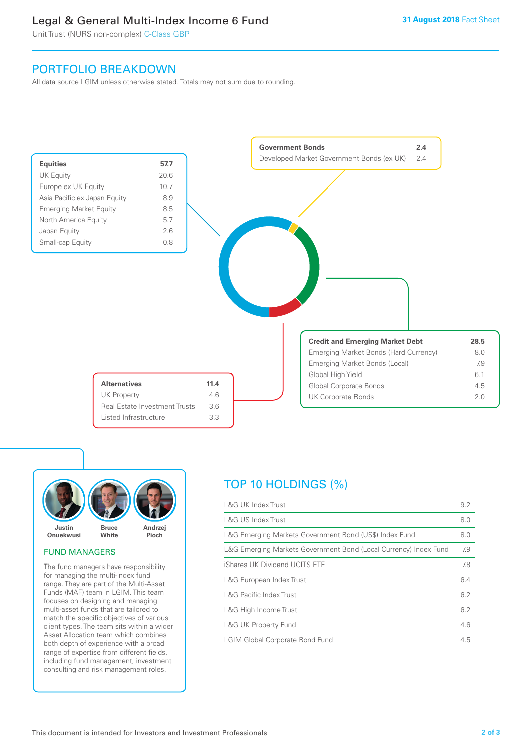# Legal & General Multi-Index Income 6 Fund

Unit Trust (NURS non-complex) C-Class GBP

## PORTFOLIO BREAKDOWN

All data source LGIM unless otherwise stated. Totals may not sum due to rounding.





#### FUND MANAGERS

The fund managers have responsibility for managing the multi-index fund range. They are part of the Multi-Asset Funds (MAF) team in LGIM. This team focuses on designing and managing multi-asset funds that are tailored to match the specific objectives of various client types. The team sits within a wider Asset Allocation team which combines both depth of experience with a broad range of expertise from different fields, including fund management, investment consulting and risk management roles.

# TOP 10 HOLDINGS (%)

| <b>L&amp;G UK Index Trust</b>                                    | 9.2 |
|------------------------------------------------------------------|-----|
| <b>L&amp;G US Index Trust</b>                                    | 8.0 |
| L&G Emerging Markets Government Bond (US\$) Index Fund           | 8.0 |
| L&G Emerging Markets Government Bond (Local Currency) Index Fund | 7.9 |
| iShares UK Dividend UCITS ETF                                    | 7.8 |
| L&G European Index Trust                                         | 6.4 |
| <b>L&amp;G Pacific Index Trust</b>                               | 6.2 |
| L&G High Income Trust                                            | 6.2 |
| L&G UK Property Fund                                             | 4.6 |
| <b>LGIM Global Corporate Bond Fund</b>                           | 4.5 |